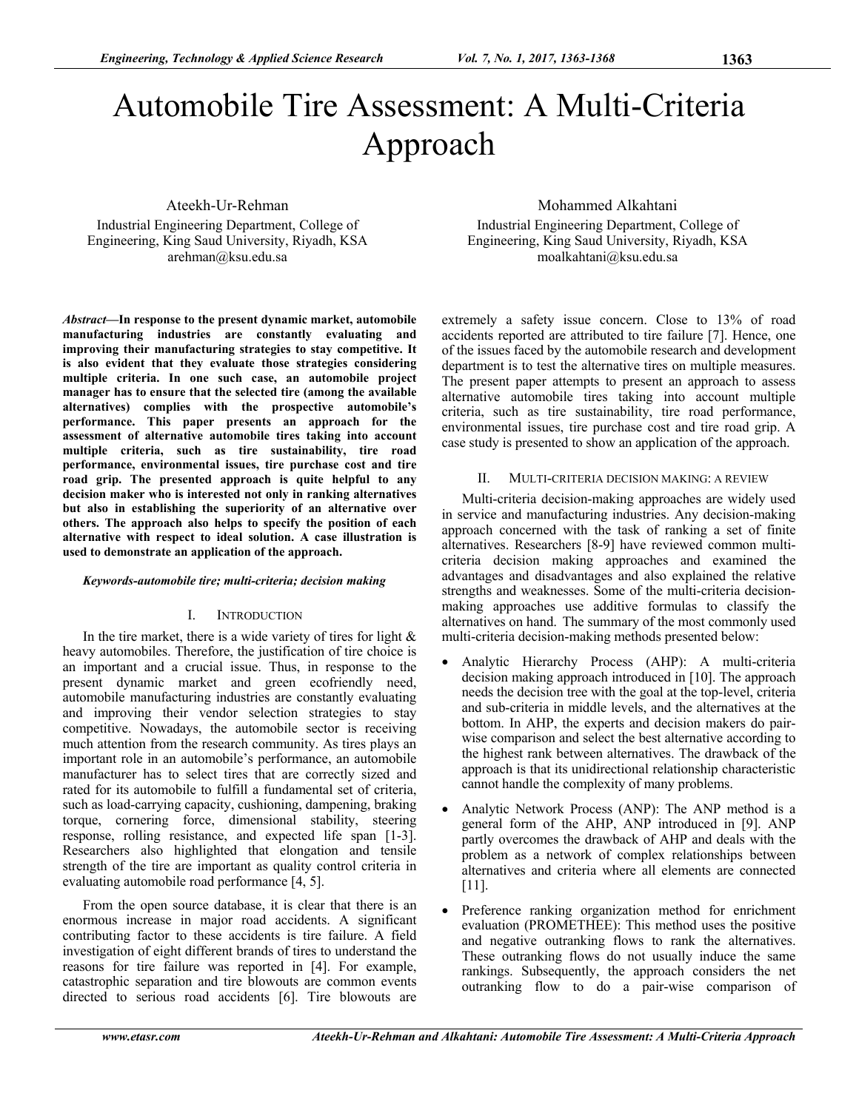# Automobile Tire Assessment: A Multi-Criteria Approach

Ateekh-Ur-Rehman Industrial Engineering Department, College of Engineering, King Saud University, Riyadh, KSA arehman@ksu.edu.sa

*Abstract***—In response to the present dynamic market, automobile manufacturing industries are constantly evaluating and improving their manufacturing strategies to stay competitive. It is also evident that they evaluate those strategies considering multiple criteria. In one such case, an automobile project manager has to ensure that the selected tire (among the available alternatives) complies with the prospective automobile's performance. This paper presents an approach for the assessment of alternative automobile tires taking into account multiple criteria, such as tire sustainability, tire road performance, environmental issues, tire purchase cost and tire road grip. The presented approach is quite helpful to any decision maker who is interested not only in ranking alternatives but also in establishing the superiority of an alternative over others. The approach also helps to specify the position of each alternative with respect to ideal solution. A case illustration is used to demonstrate an application of the approach.** 

## *Keywords-automobile tire; multi-criteria; decision making*

## I. INTRODUCTION

In the tire market, there is a wide variety of tires for light  $\&$ heavy automobiles. Therefore, the justification of tire choice is an important and a crucial issue. Thus, in response to the present dynamic market and green ecofriendly need, automobile manufacturing industries are constantly evaluating and improving their vendor selection strategies to stay competitive. Nowadays, the automobile sector is receiving much attention from the research community. As tires plays an important role in an automobile's performance, an automobile manufacturer has to select tires that are correctly sized and rated for its automobile to fulfill a fundamental set of criteria, such as load-carrying capacity, cushioning, dampening, braking torque, cornering force, dimensional stability, steering response, rolling resistance, and expected life span [1-3]. Researchers also highlighted that elongation and tensile strength of the tire are important as quality control criteria in evaluating automobile road performance [4, 5].

From the open source database, it is clear that there is an enormous increase in major road accidents. A significant contributing factor to these accidents is tire failure. A field investigation of eight different brands of tires to understand the reasons for tire failure was reported in [4]. For example, catastrophic separation and tire blowouts are common events directed to serious road accidents [6]. Tire blowouts are

Mohammed Alkahtani Industrial Engineering Department, College of Engineering, King Saud University, Riyadh, KSA moalkahtani@ksu.edu.sa

extremely a safety issue concern. Close to 13% of road accidents reported are attributed to tire failure [7]. Hence, one of the issues faced by the automobile research and development department is to test the alternative tires on multiple measures. The present paper attempts to present an approach to assess alternative automobile tires taking into account multiple criteria, such as tire sustainability, tire road performance, environmental issues, tire purchase cost and tire road grip. A case study is presented to show an application of the approach.

# II. MULTI-CRITERIA DECISION MAKING: A REVIEW

Multi-criteria decision-making approaches are widely used in service and manufacturing industries. Any decision-making approach concerned with the task of ranking a set of finite alternatives. Researchers [8-9] have reviewed common multicriteria decision making approaches and examined the advantages and disadvantages and also explained the relative strengths and weaknesses. Some of the multi-criteria decisionmaking approaches use additive formulas to classify the alternatives on hand. The summary of the most commonly used multi-criteria decision-making methods presented below:

- Analytic Hierarchy Process (AHP): A multi-criteria decision making approach introduced in [10]. The approach needs the decision tree with the goal at the top-level, criteria and sub-criteria in middle levels, and the alternatives at the bottom. In AHP, the experts and decision makers do pairwise comparison and select the best alternative according to the highest rank between alternatives. The drawback of the approach is that its unidirectional relationship characteristic cannot handle the complexity of many problems.
- Analytic Network Process (ANP): The ANP method is a general form of the AHP, ANP introduced in [9]. ANP partly overcomes the drawback of AHP and deals with the problem as a network of complex relationships between alternatives and criteria where all elements are connected [11].
- Preference ranking organization method for enrichment evaluation (PROMETHEE): This method uses the positive and negative outranking flows to rank the alternatives. These outranking flows do not usually induce the same rankings. Subsequently, the approach considers the net outranking flow to do a pair-wise comparison of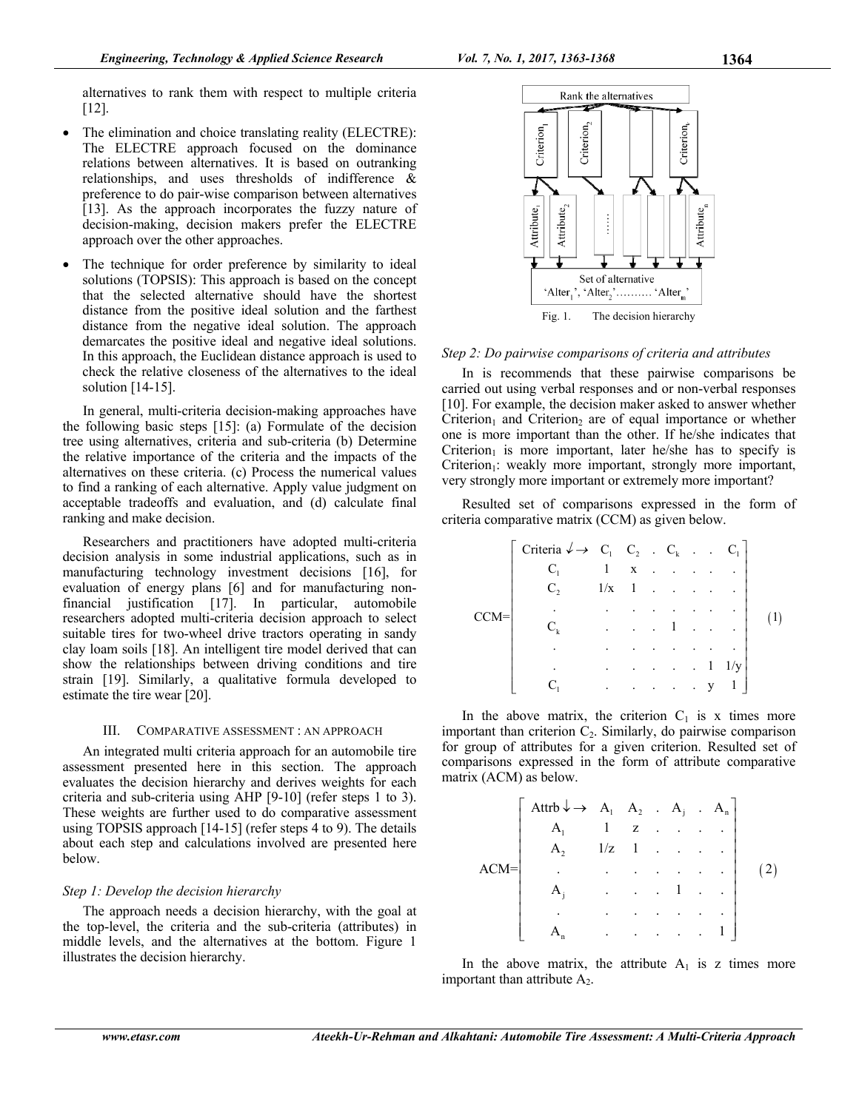alternatives to rank them with respect to multiple criteria [12].

- The elimination and choice translating reality (ELECTRE): The ELECTRE approach focused on the dominance relations between alternatives. It is based on outranking relationships, and uses thresholds of indifference  $\&$ preference to do pair-wise comparison between alternatives [13]. As the approach incorporates the fuzzy nature of decision-making, decision makers prefer the ELECTRE approach over the other approaches.
- The technique for order preference by similarity to ideal solutions (TOPSIS): This approach is based on the concept that the selected alternative should have the shortest distance from the positive ideal solution and the farthest distance from the negative ideal solution. The approach demarcates the positive ideal and negative ideal solutions. In this approach, the Euclidean distance approach is used to check the relative closeness of the alternatives to the ideal solution  $[14-15]$ .

In general, multi-criteria decision-making approaches have the following basic steps [15]: (a) Formulate of the decision tree using alternatives, criteria and sub-criteria (b) Determine the relative importance of the criteria and the impacts of the alternatives on these criteria. (c) Process the numerical values to find a ranking of each alternative. Apply value judgment on acceptable tradeoffs and evaluation, and (d) calculate final ranking and make decision.

Researchers and practitioners have adopted multi-criteria decision analysis in some industrial applications, such as in manufacturing technology investment decisions [16], for evaluation of energy plans [6] and for manufacturing nonfinancial justification [17]. In particular, automobile researchers adopted multi-criteria decision approach to select suitable tires for two-wheel drive tractors operating in sandy clay loam soils [18]. An intelligent tire model derived that can show the relationships between driving conditions and tire strain [19]. Similarly, a qualitative formula developed to estimate the tire wear [20].

#### III. COMPARATIVE ASSESSMENT : AN APPROACH

An integrated multi criteria approach for an automobile tire assessment presented here in this section. The approach evaluates the decision hierarchy and derives weights for each criteria and sub-criteria using AHP [9-10] (refer steps 1 to 3). These weights are further used to do comparative assessment using TOPSIS approach [14-15] (refer steps 4 to 9). The details about each step and calculations involved are presented here below.

#### *Step 1: Develop the decision hierarchy*

The approach needs a decision hierarchy, with the goal at the top-level, the criteria and the sub-criteria (attributes) in middle levels, and the alternatives at the bottom. Figure 1 illustrates the decision hierarchy.



#### *Step 2: Do pairwise comparisons of criteria and attributes*

In is recommends that these pairwise comparisons be carried out using verbal responses and or non-verbal responses [10]. For example, the decision maker asked to answer whether Criterion<sub>1</sub> and Criterion<sub>2</sub> are of equal importance or whether one is more important than the other. If he/she indicates that Criterion<sub>1</sub> is more important, later he/she has to specify is Criterion<sub>1</sub>: weakly more important, strongly more important, very strongly more important or extremely more important?

Resulted set of comparisons expressed in the form of criteria comparative matrix (CCM) as given below.

|        | Criteria $\downarrow \rightarrow C_1 \quad C_2 \quad C_k$ . |              |                      |  |           | $C_{1}$        |  |
|--------|-------------------------------------------------------------|--------------|----------------------|--|-----------|----------------|--|
|        |                                                             | $\mathbf{1}$ | $\mathbf X$          |  |           |                |  |
|        | C,                                                          | 1/x          | -1                   |  |           |                |  |
| $CCM=$ |                                                             |              |                      |  |           |                |  |
|        |                                                             |              | $\cdot$              |  |           |                |  |
|        |                                                             |              |                      |  |           |                |  |
|        |                                                             |              | $\ddot{\phantom{0}}$ |  | $\vert$ 1 | $1/\mathrm{v}$ |  |
|        |                                                             |              | ٠                    |  | v         |                |  |

In the above matrix, the criterion  $C_1$  is x times more important than criterion  $C_2$ . Similarly, do pairwise comparison for group of attributes for a given criterion. Resulted set of comparisons expressed in the form of attribute comparative matrix (ACM) as below.

|    | Attrb $\downarrow \rightarrow A_1 \ A_2 \ A_j \ A_n$ |                      |                      |                      |        |  |
|----|------------------------------------------------------|----------------------|----------------------|----------------------|--------|--|
|    |                                                      | $\mathbf{1}$         | z                    |                      |        |  |
|    |                                                      | 1/z                  |                      |                      |        |  |
| 1= |                                                      | $\ddot{\phantom{0}}$ | $\bullet$            | ٠                    |        |  |
|    |                                                      |                      | $\ddot{\phantom{0}}$ | $\ddot{\phantom{a}}$ |        |  |
|    |                                                      |                      | ٠                    |                      |        |  |
|    |                                                      | $\ddot{\phantom{0}}$ | $\ddot{\phantom{a}}$ |                      | $\sim$ |  |

In the above matrix, the attribute  $A_1$  is z times more important than attribute  $A_2$ .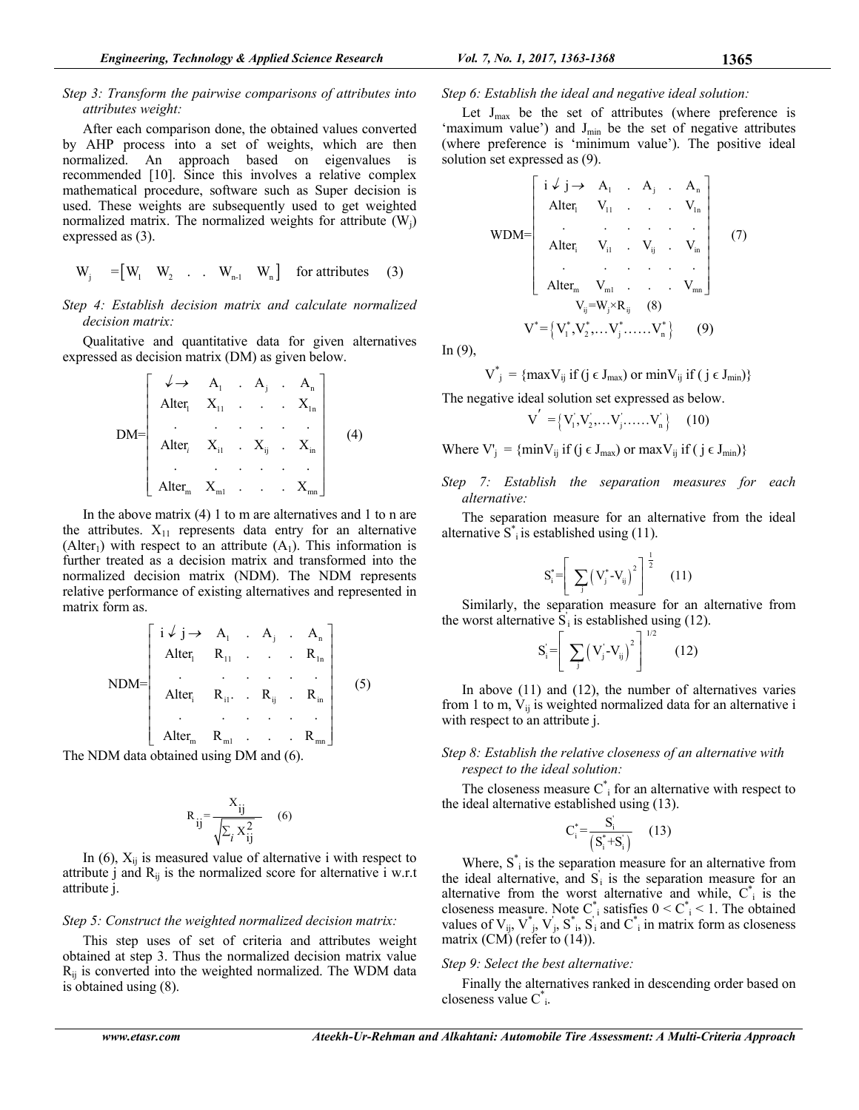## *Step 3: Transform the pairwise comparisons of attributes into attributes weight:*

After each comparison done, the obtained values converted by AHP process into a set of weights, which are then normalized. An approach based on eigenvalues is recommended [10]. Since this involves a relative complex mathematical procedure, software such as Super decision is used. These weights are subsequently used to get weighted normalized matrix. The normalized weights for attribute  $(W_i)$ expressed as (3).

$$
W_j = [W_1 \quad W_2 \quad . \quad W_{n-1} \quad W_n] \quad \text{for attributes} \quad (3)
$$

## *Step 4: Establish decision matrix and calculate normalized decision matrix:*

Qualitative and quantitative data for given alternatives expressed as decision matrix (DM) as given below.

$$
DM = \begin{bmatrix} \downarrow \rightarrow & A_1 & A_j & A_n \\ \text{Alter}_1 & X_{11} & \cdots & X_{1n} \\ \vdots & \vdots & \vdots & \vdots \\ \text{Alter}_i & X_{i1} & X_{ij} & X_{in} \\ \vdots & \vdots & \vdots & \vdots \\ \text{Alter}_m & X_{m1} & \cdots & X_{mn} \end{bmatrix}
$$
 (4)

In the above matrix (4) 1 to m are alternatives and 1 to n are the attributes.  $X_{11}$  represents data entry for an alternative (Alter<sub>1</sub>) with respect to an attribute  $(A_1)$ . This information is further treated as a decision matrix and transformed into the normalized decision matrix (NDM). The NDM represents relative performance of existing alternatives and represented in matrix form as.

$$
NDM = \begin{bmatrix}\ni \downarrow j \rightarrow & A_1 & . & A_j & . & A_n \\
A \text{Iter}_1 & R_{11} & . & . & . & R_{1n} \\
 & . & . & . & . & . & . \\
A \text{Iter}_i & R_{i1} & . & R_{ij} & . & R_{in} \\
 & . & . & . & . & . \\
A \text{Iter}_m & R_{m1} & . & . & . & R_{mn}\n\end{bmatrix}
$$
\n(5)

The NDM data obtained using DM and (6).

$$
R_{ij} = \frac{X_{ij}}{\sqrt{\sum_{i} X_{ij}^2}}
$$
 (6)

In  $(6)$ ,  $X_{ii}$  is measured value of alternative i with respect to attribute j and  $R_{ii}$  is the normalized score for alternative i w.r.t attribute j.

## *Step 5: Construct the weighted normalized decision matrix:*

This step uses of set of criteria and attributes weight obtained at step 3. Thus the normalized decision matrix value  $R_{ij}$  is converted into the weighted normalized. The WDM data is obtained using (8).

## *Step 6: Establish the ideal and negative ideal solution:*

Let  $J_{\text{max}}$  be the set of attributes (where preference is 'maximum value') and  $J_{min}$  be the set of negative attributes (where preference is 'minimum value'). The positive ideal solution set expressed as (9).

$$
WDM = \begin{bmatrix}\ni \downarrow j \rightarrow & A_1 & . & A_j & . & A_n \\
Alter_1 & V_{11} & . & . & . & V_{1n} \\
\vdots & \vdots & \vdots & \vdots & \vdots \\
Alter_i & V_{i1} & . & V_{ij} & . & V_{in} \\
\vdots & \vdots & \vdots & \vdots & \vdots \\
Alter_m & V_{m1} & . & . & V_{mn}\n\end{bmatrix}
$$
\n(7)\n
$$
V_{ij} = W_j \times R_{ij}
$$
\n(8)\n
$$
V^* = \{V_1^*, V_2^*, \dots V_j^*, \dots, V_n^*\}
$$
\n(9)

In  $(9)$ ,

$$
V_{ij}^* = \{ \max V_{ij} \text{ if } (j \in J_{max}) \text{ or } \min V_{ij} \text{ if } (j \in J_{min}) \}
$$

The negative ideal solution set expressed as below.

$$
V^{'} = \left\{ V_{1}^{'} , V_{2}^{'} , \ldots V_{j}^{'} , \ldots \ldots V_{n}^{'} \right\} \quad (10)
$$

Where  $V'_{j} = \{\min V_{ij} \text{ if } (j \in J_{max}) \text{ or } \max V_{ij} \text{ if } (j \in J_{min})\}$ 

*Step 7: Establish the separation measures for each alternative:* 

The separation measure for an alternative from the ideal alternative  $S^*$  is established using (11).

$$
S_{i}^{*} = \left[ \sum_{j} \left( V_{j}^{*} - V_{ij} \right)^{2} \right]^{\frac{1}{2}} \quad (11)
$$

Similarly, the separation measure for an alternative from the worst alternative  $\hat{S}_i$  is established using (12).

$$
S'_{i} = \left[ \sum_{j} (V'_{j} - V_{ij})^{2} \right]^{1/2}
$$
 (12)

In above (11) and (12), the number of alternatives varies from 1 to m,  $V_{ij}$  is weighted normalized data for an alternative i with respect to an attribute j.

## *Step 8: Establish the relative closeness of an alternative with respect to the ideal solution:*

The closeness measure  $C^*$  for an alternative with respect to the ideal alternative established using (13).

$$
C_i^* = \frac{S_i^{'}}{(S_i^* + S_i^{'})} \quad (13)
$$

Where,  $S_{i}^{*}$  is the separation measure for an alternative from the ideal alternative, and  $S_i$  is the separation measure for an alternative from the worst alternative and while,  $C^*$  is the closeness measure. Note  $C_i^*$  satisfies  $0 \leq C_i^* \leq 1$ . The obtained values of  $V_{ij}$ ,  $V^*_{j}$ ,  $V^{'j}$ ,  $S^*_{i}$ ,  $S^{'j}$  and  $C^*_{i}$  in matrix form as closeness matrix (CM) (refer to  $(14)$ ).

## *Step 9: Select the best alternative:*

Finally the alternatives ranked in descending order based on closeness value C\* i.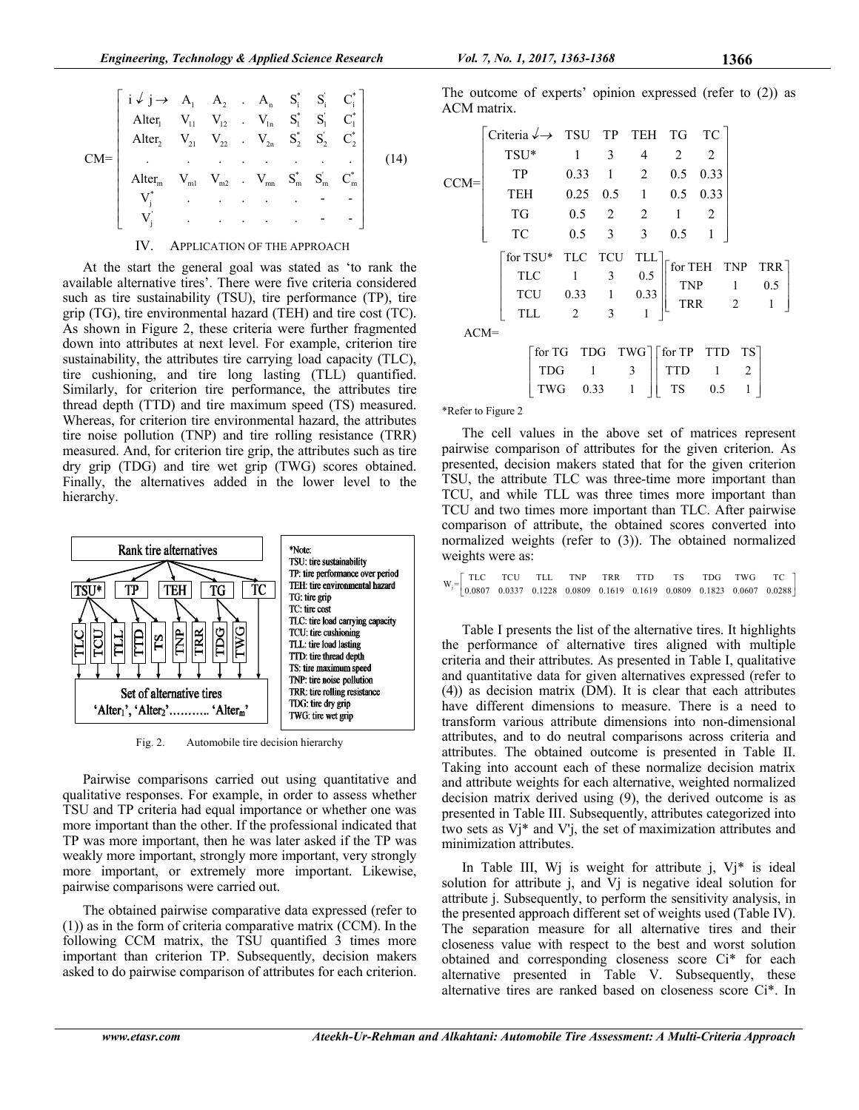$$
CM = \begin{bmatrix}\ni \n\downarrow j \rightarrow & A_1 & A_2 & A_1 & S_1^* & S_1^* & C_1^* \\
AIter_1 & V_{11} & V_{12} & V_{1n} & S_1^* & S_1^* & C_1^* \\
AIter_2 & V_{21} & V_{22} & V_{2n} & S_2^* & S_2 & C_2^* \\
\vdots & \vdots & \vdots & \vdots & \vdots & \vdots & \vdots \\
AIter_m & V_{m1} & V_{m2} & V_{mn} & S_m^* & S_m^* & C_m^* \\
V_j^* & \vdots & \vdots & \vdots & \vdots & \vdots & \vdots \\
V_j^* & \vdots & \vdots & \vdots & \vdots & \vdots & \vdots & \vdots \\
V_j^* & \vdots & \vdots & \vdots & \vdots & \vdots & \vdots & \vdots \\
V_j^* & \vdots & \vdots & \vdots & \vdots & \vdots & \vdots & \vdots \\
V_j^* & \vdots & \vdots & \vdots & \vdots & \vdots & \vdots & \vdots \\
V_j^* & \vdots & \vdots & \vdots & \vdots & \vdots & \vdots \\
V_j^* & \vdots & \vdots & \vdots & \vdots & \vdots & \vdots \\
V_j^* & \vdots & \vdots & \vdots & \vdots & \vdots & \vdots \\
V_j^* & \vdots & \vdots & \vdots & \vdots & \vdots & \vdots \\
V_j^* & \vdots & \vdots & \vdots & \vdots & \vdots & \vdots \\
V_j^* & \vdots & \vdots & \vdots & \vdots & \vdots & \vdots \\
V_j^* & \vdots & \vdots & \vdots & \vdots & \vdots & \vdots \\
V_j^* & \vdots & \vdots & \vdots & \vdots & \vdots \\
V_j^* & \vdots & \vdots & \vdots & \vdots & \vdots \\
V_j^* & \vdots & \vdots & \vdots & \vdots & \vdots \\
V_j^* & \vdots & \vdots & \vdots & \vdots & \vdots \\
V_j^* & \vdots & \vdots & \vdots & \vdots & \vdots \\
V_j^* & \vdots & \vdots & \vdots & \vdots & \vdots \\
V_j^* & \vdots & \vdots & \vdots & \vdots & \vdots \\
V_j^* & \vdots & \vdots & \vdots & \vdots & \vdots \\
V_j^
$$

#### IV. APPLICATION OF THE APPROACH

At the start the general goal was stated as 'to rank the available alternative tires'. There were five criteria considered such as tire sustainability (TSU), tire performance (TP), tire grip (TG), tire environmental hazard (TEH) and tire cost (TC). As shown in Figure 2, these criteria were further fragmented down into attributes at next level. For example, criterion tire sustainability, the attributes tire carrying load capacity (TLC), tire cushioning, and tire long lasting (TLL) quantified. Similarly, for criterion tire performance, the attributes tire thread depth (TTD) and tire maximum speed (TS) measured. Whereas, for criterion tire environmental hazard, the attributes tire noise pollution (TNP) and tire rolling resistance (TRR) measured. And, for criterion tire grip, the attributes such as tire dry grip (TDG) and tire wet grip (TWG) scores obtained. Finally, the alternatives added in the lower level to the hierarchy.



Fig. 2. Automobile tire decision hierarchy

Pairwise comparisons carried out using quantitative and qualitative responses. For example, in order to assess whether TSU and TP criteria had equal importance or whether one was more important than the other. If the professional indicated that TP was more important, then he was later asked if the TP was weakly more important, strongly more important, very strongly more important, or extremely more important. Likewise, pairwise comparisons were carried out.

The obtained pairwise comparative data expressed (refer to (1)) as in the form of criteria comparative matrix (CCM). In the following CCM matrix, the TSU quantified 3 times more important than criterion TP. Subsequently, decision makers asked to do pairwise comparison of attributes for each criterion. The outcome of experts' opinion expressed (refer to (2)) as ACM matrix.

|        | Criteria $\rightarrow$ TSU TP TEH TG TC |                                                                            |                          |                  |              |                 |         |     |
|--------|-----------------------------------------|----------------------------------------------------------------------------|--------------------------|------------------|--------------|-----------------|---------|-----|
|        | TSU*                                    | 1                                                                          | 3                        | $\overline{4}$   | 2            | 2               |         |     |
| CCM=   | TP                                      | 0.33                                                                       | $\frac{1}{2}$            | $\overline{2}$   | 0.5          | 0.33            |         |     |
|        | <b>TEH</b>                              | 0.25                                                                       |                          | $0.5 \quad 1$    | 0.5          | 0.33            |         |     |
|        | TG                                      |                                                                            | $0.5 \t 2$               | 2                | $\mathbf{1}$ | 2               |         |     |
|        | TC                                      | 0.5                                                                        | $\overline{\phantom{a}}$ | 3                | 0.5          |                 |         |     |
|        | for TSU*                                | TLC TCU                                                                    |                          | TLL <sup>-</sup> |              |                 |         |     |
|        | TLC                                     | $\mathbf{1}$                                                               | 3                        | 0.5              |              | for TEH TNP TRR |         |     |
|        | <b>TCU</b>                              | 0.33                                                                       | $\,$ 1 $\,$              | 0.33             | TNP<br>TRR   |                 | -1<br>2 | 0.5 |
|        | <b>TLL</b>                              | 2                                                                          | 3                        |                  |              |                 |         |     |
| $ACM=$ |                                         |                                                                            |                          |                  |              |                 |         |     |
|        |                                         | $\lceil \text{for TG} \rceil$ TDG TWG $\lceil \text{for TP} \rceil$ TTD TS |                          |                  |              |                 |         |     |
|        | <b>TDG</b>                              | 1                                                                          |                          | 3                | <b>TTD</b>   | - 1             | 2       |     |
|        | TWG                                     | 0.33                                                                       |                          | 1                | <b>TS</b>    | 0.5             |         |     |

\*Refer to Figure 2

The cell values in the above set of matrices represent pairwise comparison of attributes for the given criterion. As presented, decision makers stated that for the given criterion TSU, the attribute TLC was three-time more important than TCU, and while TLL was three times more important than TCU and two times more important than TLC. After pairwise comparison of attribute, the obtained scores converted into normalized weights (refer to (3)). The obtained normalized weights were as:

|  |  |  |  |  | $\text{W}_{\text{j}}\text{=}\begin{bmatrix} \text{TLC} & \text{TCU} & \text{TLL} & \text{TNP} & \text{TRR} & \text{TTD} & \text{TS} & \text{TDG} & \text{TWG} & \text{TC} \\ 0.0807 & 0.0337 & 0.1228 & 0.0809 & 0.1619 & 0.1619 & 0.0809 & 0.1823 & 0.0607 & 0.0288 \end{bmatrix}.$ |  |
|--|--|--|--|--|--------------------------------------------------------------------------------------------------------------------------------------------------------------------------------------------------------------------------------------------------------------------------------------|--|
|  |  |  |  |  |                                                                                                                                                                                                                                                                                      |  |

Table I presents the list of the alternative tires. It highlights the performance of alternative tires aligned with multiple criteria and their attributes. As presented in Table I, qualitative and quantitative data for given alternatives expressed (refer to (4)) as decision matrix (DM). It is clear that each attributes have different dimensions to measure. There is a need to transform various attribute dimensions into non-dimensional attributes, and to do neutral comparisons across criteria and attributes. The obtained outcome is presented in Table II. Taking into account each of these normalize decision matrix and attribute weights for each alternative, weighted normalized decision matrix derived using (9), the derived outcome is as presented in Table III. Subsequently, attributes categorized into two sets as Vj\* and V'j, the set of maximization attributes and minimization attributes.

In Table III, Wj is weight for attribute  $j$ , Vj\* is ideal solution for attribute j, and Vj is negative ideal solution for attribute j. Subsequently, to perform the sensitivity analysis, in the presented approach different set of weights used (Table IV). The separation measure for all alternative tires and their closeness value with respect to the best and worst solution obtained and corresponding closeness score Ci\* for each alternative presented in Table V. Subsequently, these alternative tires are ranked based on closeness score Ci\*. In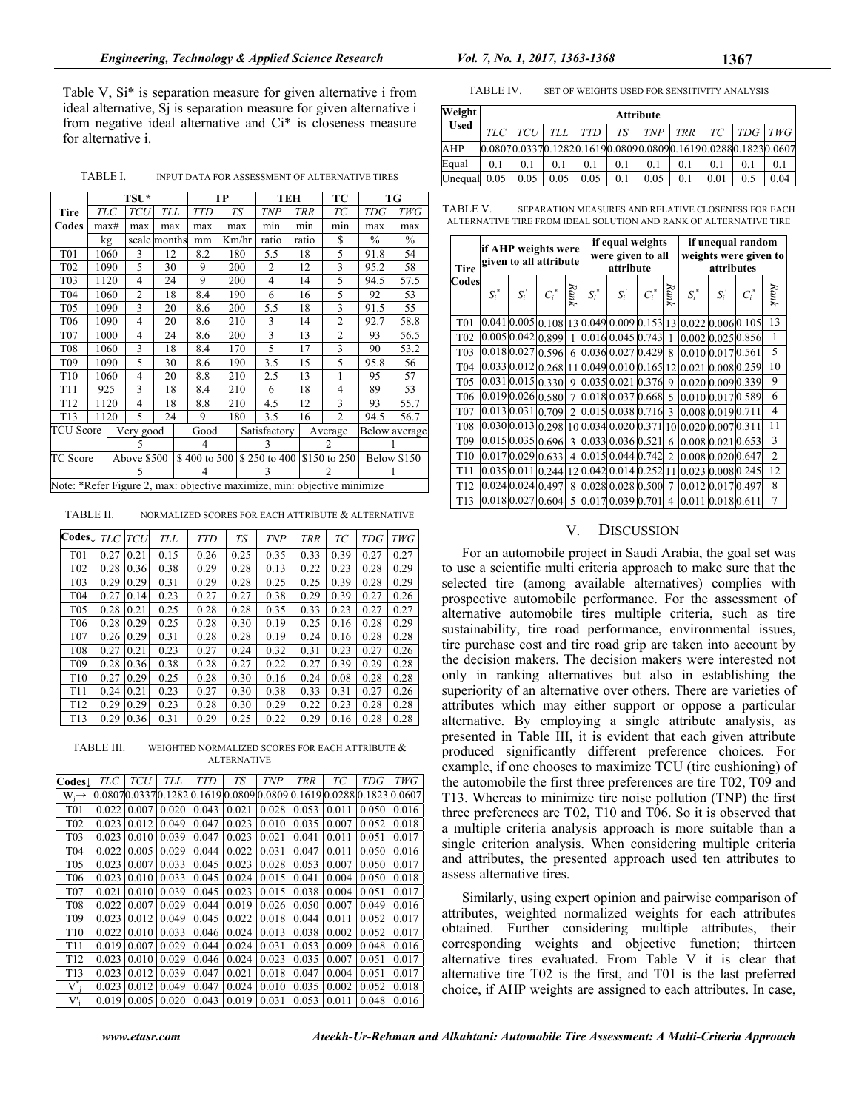Table V, Si\* is separation measure for given alternative i from ideal alternative, Sj is separation measure for given alternative i from negative ideal alternative and Ci\* is closeness measure for alternative i.

TABLE I. INPUT DATA FOR ASSESSMENT OF ALTERNATIVE TIRES

|                                                                         |      |      | TSU*           |              |              | TP        |   |                | TEH        | ТC                             |               | TG            |  |
|-------------------------------------------------------------------------|------|------|----------------|--------------|--------------|-----------|---|----------------|------------|--------------------------------|---------------|---------------|--|
| Tire                                                                    |      | ТLC  | <b>TCU</b>     | TLL          | TTD          | <b>TS</b> |   | <b>TNP</b>     | <b>TRR</b> | TC                             | <b>TDG</b>    | TWG           |  |
| Codes                                                                   | max# |      | max            | max          | max          | max       |   | min            | min        | min                            | max           | max           |  |
|                                                                         |      | kg   |                | scale months | mm           | Km/hr     |   | ratio          | ratio      | S                              | $\frac{0}{0}$ | $\frac{0}{0}$ |  |
| <b>T01</b>                                                              |      | 1060 | 3              | 12           | 8.2          | 180       |   | 5.5            | 18         | 5                              | 91.8          | 54            |  |
| T <sub>0</sub> 2                                                        |      | 1090 | 5              | 30           | 9            | 200       |   | $\overline{c}$ | 12         | 3                              | 95.2          | 58            |  |
| T <sub>0</sub> 3                                                        |      | 1120 | 4              | 24           | 9            | 200       |   | $\overline{4}$ | 14         | 5                              | 94.5          | 57.5          |  |
| T04                                                                     |      | 1060 | $\overline{c}$ | 18           | 8.4          | 190       |   | 6              | 16         | 5                              | 92            | 53            |  |
| <b>T05</b>                                                              |      | 1090 | 3              | 20           | 8.6          | 200       |   | 5.5            | 18         | 3                              | 91.5          | 55            |  |
| T06                                                                     |      | 1090 | 4              | 20           | 8.6          | 210       |   | 3              | 14         | 2                              | 92.7          | 58.8          |  |
| <b>T07</b>                                                              |      | 1000 | 4              | 24           | 8.6          | 200       |   | 3              | 13         | $\overline{c}$                 | 93            | 56.5          |  |
| <b>T08</b>                                                              |      | 1060 | 3              | 18           | 8.4          | 170       |   | 5              | 17         | 3                              | 90            | 53.2          |  |
| T <sub>09</sub>                                                         |      | 1090 | 5              | 30           | 8.6          | 190       |   | 3.5            | 15         | 5                              | 95.8          | 56            |  |
| T <sub>10</sub>                                                         |      | 1060 | 4              | 20           | 8.8          | 210       |   | 2.5            | 13         | 1                              | 95            | 57            |  |
| T11                                                                     |      | 925  | 3              | 18           | 8.4          | 210       |   | 6              | 18         | 4                              | 89            | 53            |  |
| T <sub>12</sub>                                                         |      | 1120 | 4              | 18           | 8.8          | 210       |   | 4.5            | 12         | 3                              | 93            | 55.7          |  |
| T <sub>13</sub>                                                         |      | 1120 | 5              | 24           | 9            | 180       |   | 3.5            | 16         | $\overline{c}$                 | 94.5          | 56.7          |  |
| TCU Score                                                               |      |      | Very good      |              | Good         |           |   | Satisfactory   |            | Average                        |               | Below average |  |
|                                                                         |      | 5    |                |              | 4            |           |   | 3              |            | 2                              |               |               |  |
| TC Score                                                                |      |      | Above \$500    |              | \$400 to 500 |           |   |                |            | \$250 to 400 \\ \ \$150 to 250 | Below \$150   |               |  |
|                                                                         |      |      | 5              |              | 4            |           | 3 |                |            | 2                              |               |               |  |
| Note: *Refer Figure 2, max: objective maximize, min: objective minimize |      |      |                |              |              |           |   |                |            |                                |               |               |  |

TABLE II. NORMALIZED SCORES FOR EACH ATTRIBUTE & ALTERNATIVE

| $\overline{\text{Codes}\downarrow}$ | TLC  | <b>TCU</b> | <b>TLL</b> | <b>TTD</b> | TS   | <b>TNP</b> | <b>TRR</b> | TС   | <b>TDG</b> | <b>TWG</b> |
|-------------------------------------|------|------------|------------|------------|------|------------|------------|------|------------|------------|
| T <sub>0</sub> 1                    | 0.27 | 0.21       | 0.15       | 0.26       | 0.25 | 0.35       | 0.33       | 0.39 | 0.27       | 0.27       |
| T <sub>02</sub>                     | 0.28 | 0.36       | 0.38       | 0.29       | 0.28 | 0.13       | 0.22       | 0.23 | 0.28       | 0.29       |
| T <sub>0</sub> 3                    | 0.29 | 0.29       | 0.31       | 0.29       | 0.28 | 0.25       | 0.25       | 0.39 | 0.28       | 0.29       |
| T <sub>04</sub>                     | 0.27 | 0.14       | 0.23       | 0.27       | 0.27 | 0.38       | 0.29       | 0.39 | 0.27       | 0.26       |
| T <sub>05</sub>                     | 0.28 | 0.21       | 0.25       | 0.28       | 0.28 | 0.35       | 0.33       | 0.23 | 0.27       | 0.27       |
| T <sub>06</sub>                     | 0.28 | 0.29       | 0.25       | 0.28       | 0.30 | 0.19       | 0.25       | 0.16 | 0.28       | 0.29       |
| <b>T07</b>                          | 0.26 | 0.29       | 0.31       | 0.28       | 0.28 | 0.19       | 0.24       | 0.16 | 0.28       | 0.28       |
| <b>T08</b>                          | 0.27 | 0.21       | 0.23       | 0.27       | 0.24 | 0.32       | 0.31       | 0.23 | 0.27       | 0.26       |
| T <sub>09</sub>                     | 0.28 | 0.36       | 0.38       | 0.28       | 0.27 | 0.22       | 0.27       | 0.39 | 0.29       | 0.28       |
| T <sub>10</sub>                     | 0.27 | 0.29       | 0.25       | 0.28       | 0.30 | 0.16       | 0.24       | 0.08 | 0.28       | 0.28       |
| T11                                 | 0.24 | 0.21       | 0.23       | 0.27       | 0.30 | 0.38       | 0.33       | 0.31 | 0.27       | 0.26       |
| T <sub>12</sub>                     | 0.29 | 0.29       | 0.23       | 0.28       | 0.30 | 0.29       | 0.22       | 0.23 | 0.28       | 0.28       |
| T <sub>13</sub>                     | 0.29 | 0.36       | 0.31       | 0.29       | 0.25 | 0.22       | 0.29       | 0.16 | 0.28       | 0.28       |

TABLE III. WEIGHTED NORMALIZED SCORES FOR EACH ATTRIBUTE & ALTERNATIVE

| <b>Codes</b> !    | <b>TLC</b> | <b>TCU</b> | <b>TLL</b> | <b>TTD</b> | <b>TS</b> | <b>TNP</b> | <b>TRR</b>         | ТC    | <b>TDG</b>                                                             | <b>TWG</b> |
|-------------------|------------|------------|------------|------------|-----------|------------|--------------------|-------|------------------------------------------------------------------------|------------|
| $W_i \rightarrow$ |            |            |            |            |           |            |                    |       | $[0.08070.03370.1282]0.1619]0.0809]0.0809]0.1619]0.0288]0.1823]0.0607$ |            |
| <b>T01</b>        | 0.022      | 0.007      | 0.020      | 0.043      | 0.021     |            | $0.028 \mid 0.053$ | 0.011 | 0.050                                                                  | 0.016      |
| T <sub>02</sub>   | 0.023      | 0.012      | 0.049      | 0.047      | 0.023     | 0.010      | 0.035              | 0.007 | 0.052                                                                  | 0.018      |
| T <sub>0</sub> 3  | 0.023      | 0.010      | 0.039      | 0.047      | 0.023     | 0.021      | 0.041              | 0.011 | 0.051                                                                  | 0.017      |
| T <sub>04</sub>   | 0.022      | 0.005      | 0.029      | 0.044      | 0.022     | 0.031      | 0.047              | 0.011 | 0.050                                                                  | 0.016      |
| T <sub>05</sub>   | 0.023      | 0.007      | 0.033      | 0.045      | 0.023     | 0.028      | 0.053              | 0.007 | 0.050                                                                  | 0.017      |
| T <sub>06</sub>   | 0.023      | 0.010      | 0.033      | 0.045      | 0.024     | 0.015      | 0.041              | 0.004 | 0.050                                                                  | 0.018      |
| <b>T07</b>        | 0.021      | 0.010      | 0.039      | 0.045      | 0.023     | 0.015      | 0.038              | 0.004 | 0.051                                                                  | 0.017      |
| <b>T08</b>        | 0.022      | 0.007      | 0.029      | 0.044      | 0.019     |            | $0.026 \mid 0.050$ | 0.007 | 0.049                                                                  | 0.016      |
| T <sub>09</sub>   | 0.023      | 0.012      | 0.049      | 0.045      | 0.022     | 0.018      | 0.044              | 0.011 | 0.052                                                                  | 0.017      |
| T <sub>10</sub>   | 0.022      | 0.010      | 0.033      | 0.046      | 0.024     | 0.013      | 0.038              | 0.002 | 0.052                                                                  | 0.017      |
| T <sub>11</sub>   | 0.019      | 0.007      | 0.029      | 0.044      | 0.024     | 0.031      | 0.053              | 0.009 | 0.048                                                                  | 0.016      |
| T <sub>12</sub>   | 0.023      | 0.010      | 0.029      | 0.046      | 0.024     | 0.023      | 0.035              | 0.007 | 0.051                                                                  | 0.017      |
| T <sub>13</sub>   | 0.023      | 0.012      | 0.039      | 0.047      | 0.021     | 0.018      | 0.047              | 0.004 | 0.051                                                                  | 0.017      |
| $V^*$             | 0.023      | 0.012      | 0.049      | 0.047      | 0.024     | 0.010      | 0.035              | 0.002 | 0.052                                                                  | 0.018      |
| $V_i$             | 0.019      | 0.005      | 0.020      | 0.043      | 0.019     | 0.031      | 0.053              | 0.011 | 0.048                                                                  | 0.016      |

| Weight      |                                                              | <b>Attribute</b> |      |            |                 |            |            |      |     |         |  |  |  |
|-------------|--------------------------------------------------------------|------------------|------|------------|-----------------|------------|------------|------|-----|---------|--|--|--|
| <b>Used</b> | TLC                                                          | <b>TCU</b>       | TLL  | <b>TTD</b> | TS <sup>T</sup> | <b>TNP</b> | <b>TRR</b> | TC   |     | TDG TWG |  |  |  |
| AHP         | 0.08070.03370.12820.16190.08090.08090.16190.02880.18230.0607 |                  |      |            |                 |            |            |      |     |         |  |  |  |
| Equal       | 0.1                                                          | 0.1              | 0.1  | 0.1        | 0.1             | 0.1        | 0.1        | 0.1  | 0.1 | 0.1     |  |  |  |
| Unequal     | 0.05                                                         | 0.05             | 0.05 | 0.05       | 0.1             | 0.05       | 0.1        | 0.01 | 0.5 | 0.04    |  |  |  |

| TABLE V. |  | SEPARATION MEASURES AND RELATIVE CLOSENESS FOR EACH               |
|----------|--|-------------------------------------------------------------------|
|          |  | ALTERNATIVE TIRE FROM IDEAL SOLUTION AND RANK OF ALTERNATIVE TIRE |

| <b>Tire</b>      |         |                   | if AHP weights were<br>given to all attribute |                |         | if equal weights<br>were given to all<br>attribute |         |                | if unequal random<br>weights were given to<br>attributes |                |         |                         |
|------------------|---------|-------------------|-----------------------------------------------|----------------|---------|----------------------------------------------------|---------|----------------|----------------------------------------------------------|----------------|---------|-------------------------|
| Codes            | $S_i^*$ | $S_i^{\prime}$    | $C_i^*$                                       | Rank           | $S_i^*$ | $S_i^{\prime}$                                     | $C_i^*$ | Rank           | $S_i^*$                                                  | $S_i^{\prime}$ | $C_i^*$ | Rank                    |
| <b>T01</b>       | 0.041   |                   | 0.005 0.108                                   |                |         | 13 0.049 0.009 0.153                               |         | 13             | $0.022$ 0.006 0.105                                      |                |         | 13                      |
| T <sub>02</sub>  |         |                   | 0.005 0.042 0.899                             | 1              |         | 0.016 0.045 0.743                                  |         | 1              | 0.002 0.025 0.856                                        |                |         | 1                       |
| T <sub>0</sub> 3 |         |                   | 0.018 0.027 0.596                             | 6              |         | 0.036 0.027 0.429                                  |         | 8              | 0.010 0.017 0.561                                        |                |         | 5                       |
| T <sub>04</sub>  |         |                   | 0.033 0.012 0.268                             | 11             |         | 0.049 0.010 0.165                                  |         | 12             | 0.021 0.008 0.259                                        |                |         | 10                      |
| <b>T05</b>       |         |                   | 0.031 0.015 0.330                             | 9              |         | 0.035 0.021 0.376                                  |         | 9              | 0.020 0.009 0.339                                        |                |         | 9                       |
| T <sub>06</sub>  |         |                   | $\overline{0.019}$ 0.026 0.580                | $\overline{7}$ |         | 0.018 0.037 0.668                                  |         | 5              | 0.010 0.017 0.589                                        |                |         | 6                       |
| <b>T07</b>       |         |                   | 0.013 0.031 0.709                             | $\mathfrak{D}$ |         | 0.015 0.038 0.716                                  |         | 3              | 0.008 0.019 0.711                                        |                |         | $\overline{\mathbf{4}}$ |
| <b>T08</b>       |         |                   | 0.030 0.013 0.298                             |                |         | 10 0.034 0.020 0.371                               |         |                | 10 0.020 0.007 0.311                                     |                |         | 11                      |
| T <sub>09</sub>  |         |                   | 0.015 0.035 0.696                             | 3              |         | 0.033 0.036 0.521                                  |         | 6              | 0.008 0.021 0.653                                        |                |         | 3                       |
| T10              |         |                   | $\overline{0.017}$ 0.029 0.633                | 4              |         | 0.015 0.044 0.742                                  |         | $\mathfrak{D}$ | 0.008 0.020 0.647                                        |                |         | $\overline{2}$          |
| T <sub>11</sub>  |         |                   | 0.035 0.011 0.244                             |                |         | 120.0420.0140.25211                                |         |                | 0.023 0.008 0.245                                        |                |         | 12                      |
| T12              |         | 0.024 0.024 0.497 |                                               | 8              |         | 0.028 0.028 0.500                                  |         | $\tau$         | 0.012 0.017 0.497                                        |                |         | 8                       |
| T13              |         |                   | 0.018 0.027 0.604                             | 5              |         | 0.017 0.039 0.701                                  |         | $\overline{4}$ | 0.011 0.018 0.611                                        |                |         | 7                       |

#### V. DISCUSSION

For an automobile project in Saudi Arabia, the goal set was to use a scientific multi criteria approach to make sure that the selected tire (among available alternatives) complies with prospective automobile performance. For the assessment of alternative automobile tires multiple criteria, such as tire sustainability, tire road performance, environmental issues, tire purchase cost and tire road grip are taken into account by the decision makers. The decision makers were interested not only in ranking alternatives but also in establishing the superiority of an alternative over others. There are varieties of attributes which may either support or oppose a particular alternative. By employing a single attribute analysis, as presented in Table III, it is evident that each given attribute produced significantly different preference choices. For example, if one chooses to maximize TCU (tire cushioning) of the automobile the first three preferences are tire T02, T09 and T13. Whereas to minimize tire noise pollution (TNP) the first three preferences are T02, T10 and T06. So it is observed that a multiple criteria analysis approach is more suitable than a single criterion analysis. When considering multiple criteria and attributes, the presented approach used ten attributes to assess alternative tires.

Similarly, using expert opinion and pairwise comparison of attributes, weighted normalized weights for each attributes obtained. Further considering multiple attributes, their corresponding weights and objective function; thirteen alternative tires evaluated. From Table V it is clear that alternative tire T02 is the first, and T01 is the last preferred choice, if AHP weights are assigned to each attributes. In case,